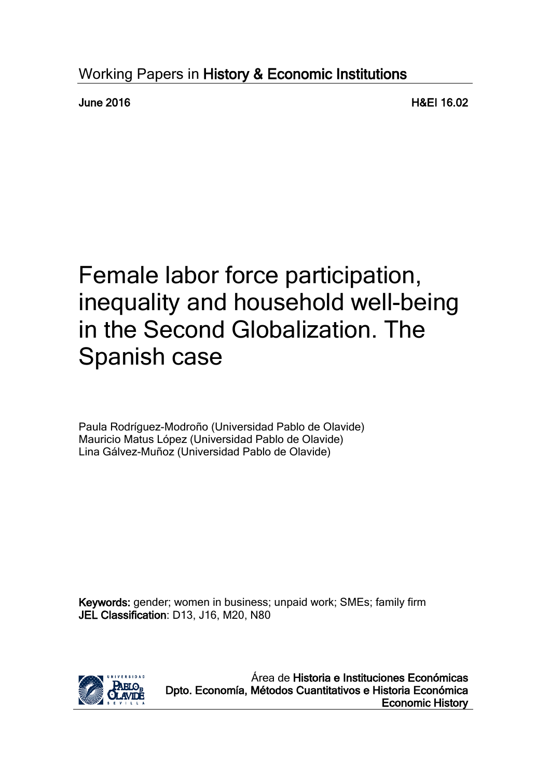## Working Papers in History & Economic Institutions

June 2016 H&EI 16.02

# Female labor force participation, inequality and household well-being in the Second Globalization. The Spanish case

Paula Rodríguez-Modroño (Universidad Pablo de Olavide) Mauricio Matus López (Universidad Pablo de Olavide) Lina Gálvez-Muñoz (Universidad Pablo de Olavide)

Keywords: gender; women in business; unpaid work; SMEs; family firm JEL Classification: D13, J16, M20, N80



Área de Historia e Instituciones Económicas Dpto. Economía, Métodos Cuantitativos e Historia Económica Economic History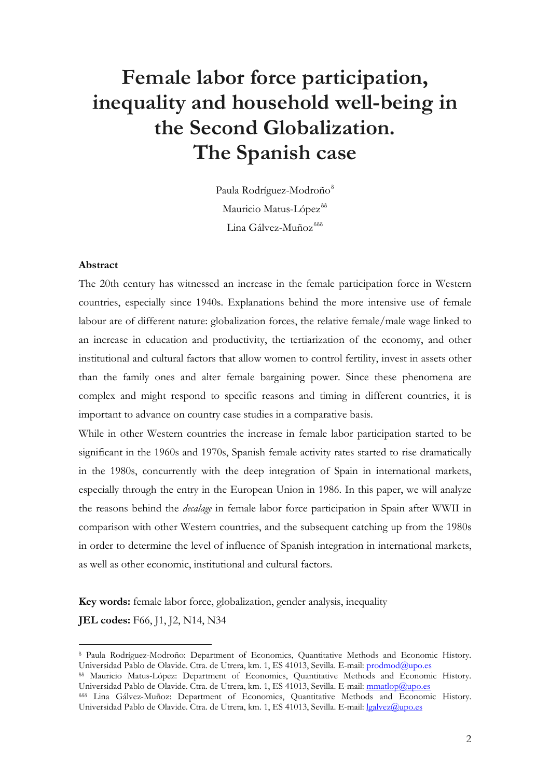## **Female labor force participation, inequality and household well-being in the Second Globalization. The Spanish case**

Paula Rodríguez-Modroño<sup>8</sup> Mauricio Matus-López<sup>[δδ](#page-1-1)</sup> Lina Gálvez-Muñoz<sup>[δδδ](#page-1-2)</sup>

#### **Abstract**

The 20th century has witnessed an increase in the female participation force in Western countries, especially since 1940s. Explanations behind the more intensive use of female labour are of different nature: globalization forces, the relative female/male wage linked to an increase in education and productivity, the tertiarization of the economy, and other institutional and cultural factors that allow women to control fertility, invest in assets other than the family ones and alter female bargaining power. Since these phenomena are complex and might respond to specific reasons and timing in different countries, it is important to advance on country case studies in a comparative basis.

While in other Western countries the increase in female labor participation started to be significant in the 1960s and 1970s, Spanish female activity rates started to rise dramatically in the 1980s, concurrently with the deep integration of Spain in international markets, especially through the entry in the European Union in 1986. In this paper, we will analyze the reasons behind the *decalage* in female labor force participation in Spain after WWII in comparison with other Western countries, and the subsequent catching up from the 1980s in order to determine the level of influence of Spanish integration in international markets, as well as other economic, institutional and cultural factors.

**Key words:** female labor force, globalization, gender analysis, inequality

**JEL codes:** F66, J1, J2, N14, N34

 $\overline{a}$ 

<span id="page-1-0"></span><sup>δ</sup> Paula Rodríguez-Modroño: Department of Economics, Quantitative Methods and Economic History. Universidad Pablo de Olavide. Ctra. de Utrera, km. 1, ES 41013, Sevilla. E-mail: prodmod@upo.es

<span id="page-1-1"></span>δδ Mauricio Matus-López: Department of Economics, Quantitative Methods and Economic History. Universidad Pablo de Olavide. Ctra. de Utrera, km. 1, ES 41013, Sevilla. E-mail: [mmatlop@upo.es](mailto:mmatlop@upo.es)

<span id="page-1-2"></span>δδδ Lina Gálvez-Muñoz: Department of Economics, Quantitative Methods and Economic History. Universidad Pablo de Olavide. Ctra. de Utrera, km. 1, ES 41013, Sevilla. E-mail: [lgalvez@upo.es](mailto:lgalvez@upo.es)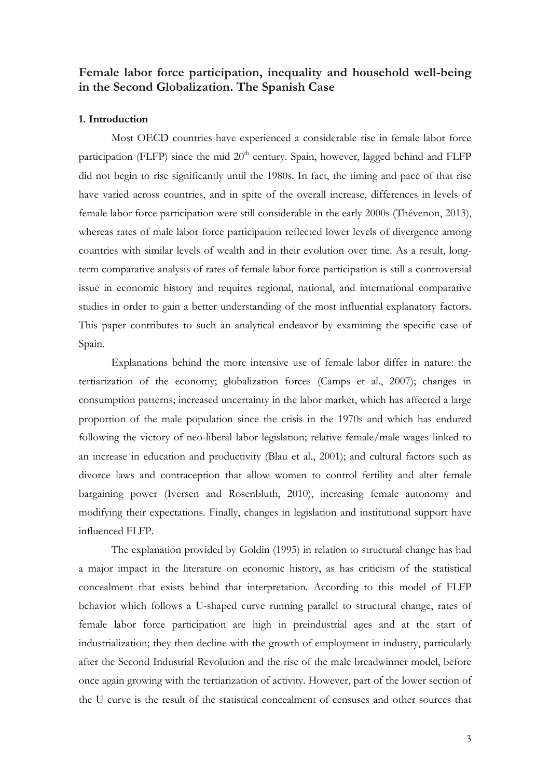### **Female labor force participation, inequality and household well-being in the Second Globalization. The Spanish Case**

#### **1. Introduction**

Most OECD countries have experienced a considerable rise in female labor force participation (FLFP) since the mid 20<sup>th</sup> century. Spain, however, lagged behind and FLFP did not begin to rise significantly until the 1980s. In fact, the timing and pace of that rise have varied across countries, and in spite of the overall increase, differences in levels of female labor force participation were still considerable in the early 2000s (Thévenon, 2013), whereas rates of male labor force participation reflected lower levels of divergence among countries with similar levels of wealth and in their evolution over time. As a result, longterm comparative analysis of rates of female labor force participation is still a controversial issue in economic history and requires regional, national, and international comparative studies in order to gain a better understanding of the most influential explanatory factors. This paper contributes to such an analytical endeavor by examining the specific case of Spain.

Explanations behind the more intensive use of female labor differ in nature: the tertiarization of the economy; globalization forces (Camps et al., 2007); changes in consumption patterns; increased uncertainty in the labor market, which has affected a large proportion of the male population since the crisis in the 1970s and which has endured following the victory of neo-liberal labor legislation; relative female/male wages linked to an increase in education and productivity (Blau et al., 2001); and cultural factors such as divorce laws and contraception that allow women to control fertility and alter female bargaining power (Iversen and Rosenbluth, 2010), increasing female autonomy and modifying their expectations. Finally, changes in legislation and institutional support have influenced FLFP.

The explanation provided by Goldin (1995) in relation to structural change has had a major impact in the literature on economic history, as has criticism of the statistical concealment that exists behind that interpretation. According to this model of FLFP behavior which follows a U-shaped curve running parallel to structural change, rates of female labor force participation are high in preindustrial ages and at the start of industrialization; they then decline with the growth of employment in industry, particularly after the Second Industrial Revolution and the rise of the male breadwinner model, before once again growing with the tertiarization of activity. However, part of the lower section of the U curve is the result of the statistical concealment of censuses and other sources that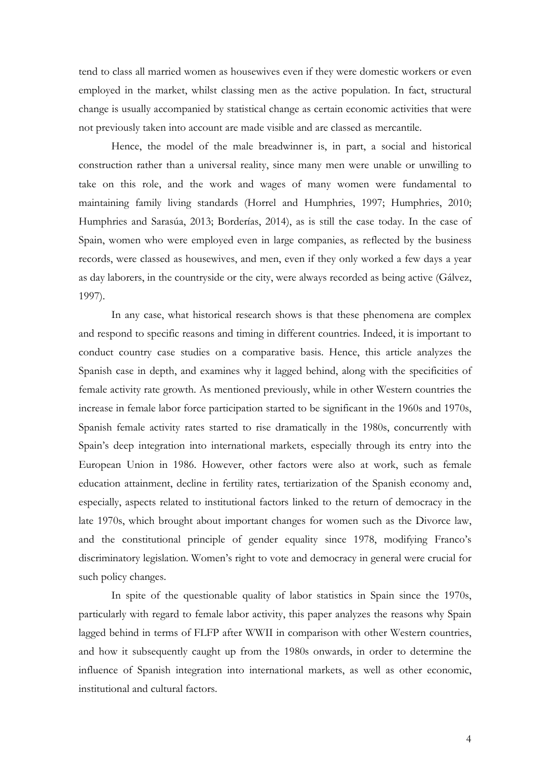tend to class all married women as housewives even if they were domestic workers or even employed in the market, whilst classing men as the active population. In fact, structural change is usually accompanied by statistical change as certain economic activities that were not previously taken into account are made visible and are classed as mercantile.

Hence, the model of the male breadwinner is, in part, a social and historical construction rather than a universal reality, since many men were unable or unwilling to take on this role, and the work and wages of many women were fundamental to maintaining family living standards (Horrel and Humphries, 1997; Humphries, 2010; Humphries and Sarasúa, 2013; Borderías, 2014), as is still the case today. In the case of Spain, women who were employed even in large companies, as reflected by the business records, were classed as housewives, and men, even if they only worked a few days a year as day laborers, in the countryside or the city, were always recorded as being active (Gálvez, 1997).

In any case, what historical research shows is that these phenomena are complex and respond to specific reasons and timing in different countries. Indeed, it is important to conduct country case studies on a comparative basis. Hence, this article analyzes the Spanish case in depth, and examines why it lagged behind, along with the specificities of female activity rate growth. As mentioned previously, while in other Western countries the increase in female labor force participation started to be significant in the 1960s and 1970s, Spanish female activity rates started to rise dramatically in the 1980s, concurrently with Spain's deep integration into international markets, especially through its entry into the European Union in 1986. However, other factors were also at work, such as female education attainment, decline in fertility rates, tertiarization of the Spanish economy and, especially, aspects related to institutional factors linked to the return of democracy in the late 1970s, which brought about important changes for women such as the Divorce law, and the constitutional principle of gender equality since 1978, modifying Franco's discriminatory legislation. Women's right to vote and democracy in general were crucial for such policy changes.

In spite of the questionable quality of labor statistics in Spain since the 1970s, particularly with regard to female labor activity, this paper analyzes the reasons why Spain lagged behind in terms of FLFP after WWII in comparison with other Western countries, and how it subsequently caught up from the 1980s onwards, in order to determine the influence of Spanish integration into international markets, as well as other economic, institutional and cultural factors.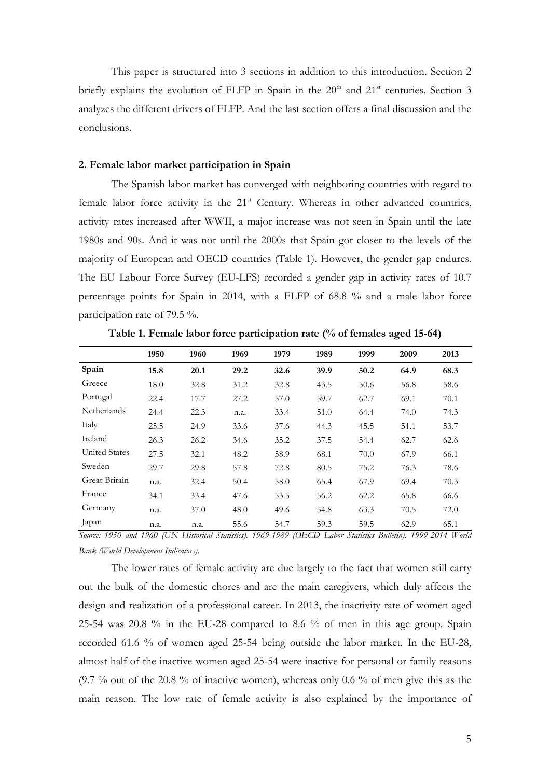This paper is structured into 3 sections in addition to this introduction. Section 2 briefly explains the evolution of FLFP in Spain in the  $20<sup>th</sup>$  and  $21<sup>st</sup>$  centuries. Section 3 analyzes the different drivers of FLFP. And the last section offers a final discussion and the conclusions.

#### **2. Female labor market participation in Spain**

The Spanish labor market has converged with neighboring countries with regard to female labor force activity in the  $21<sup>st</sup>$  Century. Whereas in other advanced countries, activity rates increased after WWII, a major increase was not seen in Spain until the late 1980s and 90s. And it was not until the 2000s that Spain got closer to the levels of the majority of European and OECD countries (Table 1). However, the gender gap endures. The EU Labour Force Survey (EU-LFS) recorded a gender gap in activity rates of 10.7 percentage points for Spain in 2014, with a FLFP of 68.8 % and a male labor force participation rate of 79.5 %.

|                      | 1950 | 1960 | 1969 | 1979 | 1989 | 1999 | 2009 | 2013 |
|----------------------|------|------|------|------|------|------|------|------|
| Spain                | 15.8 | 20.1 | 29.2 | 32.6 | 39.9 | 50.2 | 64.9 | 68.3 |
| Greece               | 18.0 | 32.8 | 31.2 | 32.8 | 43.5 | 50.6 | 56.8 | 58.6 |
| Portugal             | 22.4 | 17.7 | 27.2 | 57.0 | 59.7 | 62.7 | 69.1 | 70.1 |
| <b>Netherlands</b>   | 24.4 | 22.3 | n.a. | 33.4 | 51.0 | 64.4 | 74.0 | 74.3 |
| Italy                | 25.5 | 24.9 | 33.6 | 37.6 | 44.3 | 45.5 | 51.1 | 53.7 |
| Ireland              | 26.3 | 26.2 | 34.6 | 35.2 | 37.5 | 54.4 | 62.7 | 62.6 |
| <b>United States</b> | 27.5 | 32.1 | 48.2 | 58.9 | 68.1 | 70.0 | 67.9 | 66.1 |
| Sweden               | 29.7 | 29.8 | 57.8 | 72.8 | 80.5 | 75.2 | 76.3 | 78.6 |
| Great Britain        | n.a. | 32.4 | 50.4 | 58.0 | 65.4 | 67.9 | 69.4 | 70.3 |
| France               | 34.1 | 33.4 | 47.6 | 53.5 | 56.2 | 62.2 | 65.8 | 66.6 |
| Germany              | n.a. | 37.0 | 48.0 | 49.6 | 54.8 | 63.3 | 70.5 | 72.0 |
| apan                 | n.a. | n.a. | 55.6 | 54.7 | 59.3 | 59.5 | 62.9 | 65.1 |

**Table 1. Female labor force participation rate (% of females aged 15-64)**

*Source: 1950 and 1960 (UN Historical Statistics). 1969-1989 (OECD Labor Statistics Bulletin). 1999-2014 World Bank (World Development Indicators).*

The lower rates of female activity are due largely to the fact that women still carry out the bulk of the domestic chores and are the main caregivers, which duly affects the design and realization of a professional career. In 2013, the inactivity rate of women aged 25-54 was 20.8 % in the EU-28 compared to 8.6 % of men in this age group. Spain recorded 61.6 % of women aged 25-54 being outside the labor market. In the EU-28, almost half of the inactive women aged 25-54 were inactive for personal or family reasons (9.7 % out of the 20.8 % of inactive women), whereas only 0.6 % of men give this as the main reason. The low rate of female activity is also explained by the importance of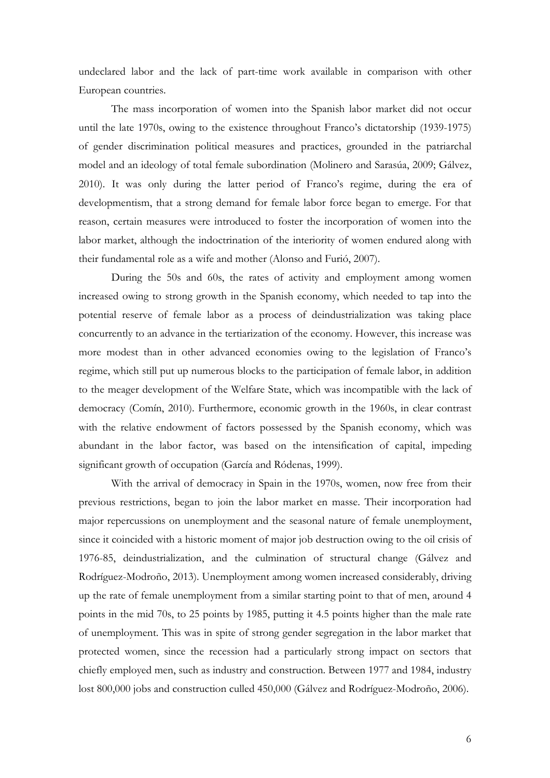undeclared labor and the lack of part-time work available in comparison with other European countries.

The mass incorporation of women into the Spanish labor market did not occur until the late 1970s, owing to the existence throughout Franco's dictatorship (1939-1975) of gender discrimination political measures and practices, grounded in the patriarchal model and an ideology of total female subordination (Molinero and Sarasúa, 2009; Gálvez, 2010). It was only during the latter period of Franco's regime, during the era of developmentism, that a strong demand for female labor force began to emerge. For that reason, certain measures were introduced to foster the incorporation of women into the labor market, although the indoctrination of the interiority of women endured along with their fundamental role as a wife and mother (Alonso and Furió, 2007).

During the 50s and 60s, the rates of activity and employment among women increased owing to strong growth in the Spanish economy, which needed to tap into the potential reserve of female labor as a process of deindustrialization was taking place concurrently to an advance in the tertiarization of the economy. However, this increase was more modest than in other advanced economies owing to the legislation of Franco's regime, which still put up numerous blocks to the participation of female labor, in addition to the meager development of the Welfare State, which was incompatible with the lack of democracy (Comín, 2010). Furthermore, economic growth in the 1960s, in clear contrast with the relative endowment of factors possessed by the Spanish economy, which was abundant in the labor factor, was based on the intensification of capital, impeding significant growth of occupation (García and Ródenas, 1999).

With the arrival of democracy in Spain in the 1970s, women, now free from their previous restrictions, began to join the labor market en masse. Their incorporation had major repercussions on unemployment and the seasonal nature of female unemployment, since it coincided with a historic moment of major job destruction owing to the oil crisis of 1976-85, deindustrialization, and the culmination of structural change (Gálvez and Rodríguez-Modroño, 2013). Unemployment among women increased considerably, driving up the rate of female unemployment from a similar starting point to that of men, around 4 points in the mid 70s, to 25 points by 1985, putting it 4.5 points higher than the male rate of unemployment. This was in spite of strong gender segregation in the labor market that protected women, since the recession had a particularly strong impact on sectors that chiefly employed men, such as industry and construction. Between 1977 and 1984, industry lost 800,000 jobs and construction culled 450,000 (Gálvez and Rodríguez-Modroño, 2006).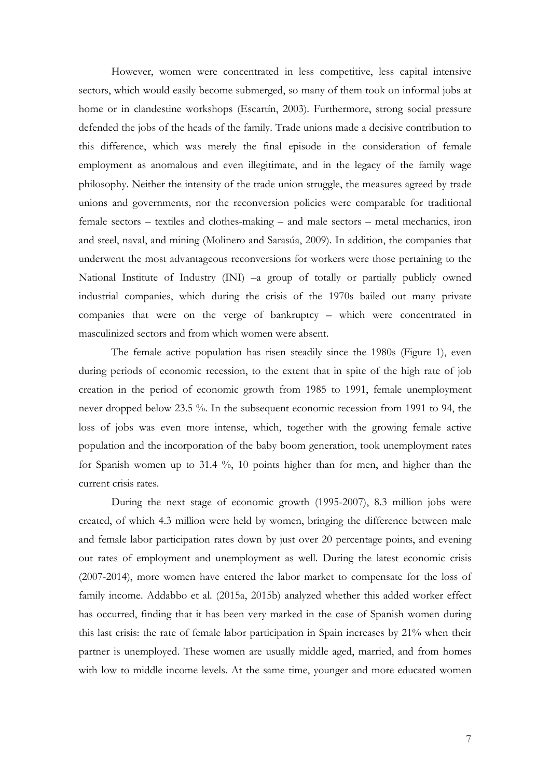However, women were concentrated in less competitive, less capital intensive sectors, which would easily become submerged, so many of them took on informal jobs at home or in clandestine workshops (Escartín, 2003). Furthermore, strong social pressure defended the jobs of the heads of the family. Trade unions made a decisive contribution to this difference, which was merely the final episode in the consideration of female employment as anomalous and even illegitimate, and in the legacy of the family wage philosophy. Neither the intensity of the trade union struggle, the measures agreed by trade unions and governments, nor the reconversion policies were comparable for traditional female sectors – textiles and clothes-making – and male sectors – metal mechanics, iron and steel, naval, and mining (Molinero and Sarasúa, 2009). In addition, the companies that underwent the most advantageous reconversions for workers were those pertaining to the National Institute of Industry (INI) –a group of totally or partially publicly owned industrial companies, which during the crisis of the 1970s bailed out many private companies that were on the verge of bankruptcy – which were concentrated in masculinized sectors and from which women were absent.

The female active population has risen steadily since the 1980s (Figure 1), even during periods of economic recession, to the extent that in spite of the high rate of job creation in the period of economic growth from 1985 to 1991, female unemployment never dropped below 23.5 %. In the subsequent economic recession from 1991 to 94, the loss of jobs was even more intense, which, together with the growing female active population and the incorporation of the baby boom generation, took unemployment rates for Spanish women up to 31.4 %, 10 points higher than for men, and higher than the current crisis rates.

During the next stage of economic growth (1995-2007), 8.3 million jobs were created, of which 4.3 million were held by women, bringing the difference between male and female labor participation rates down by just over 20 percentage points, and evening out rates of employment and unemployment as well. During the latest economic crisis (2007-2014), more women have entered the labor market to compensate for the loss of family income. Addabbo et al. (2015a, 2015b) analyzed whether this added worker effect has occurred, finding that it has been very marked in the case of Spanish women during this last crisis: the rate of female labor participation in Spain increases by 21% when their partner is unemployed. These women are usually middle aged, married, and from homes with low to middle income levels. At the same time, younger and more educated women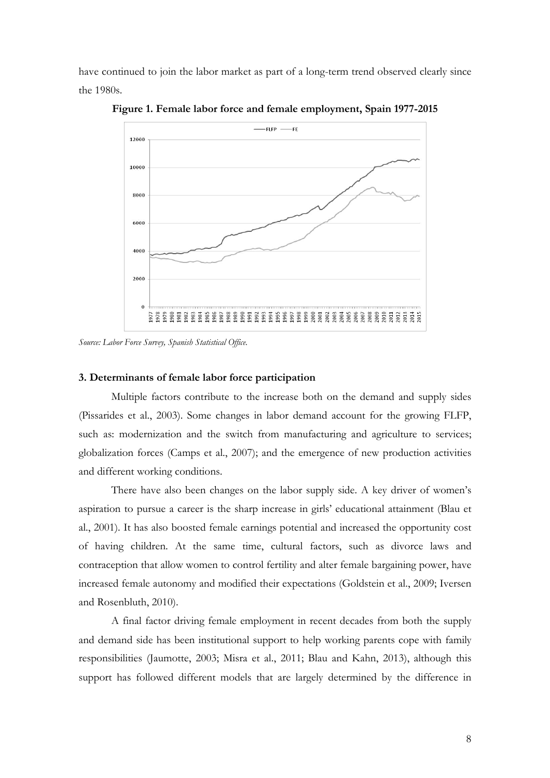have continued to join the labor market as part of a long-term trend observed clearly since the 1980s.



**Figure 1. Female labor force and female employment, Spain 1977-2015**

*Source: Labor Force Survey, Spanish Statistical Office.*

#### **3. Determinants of female labor force participation**

Multiple factors contribute to the increase both on the demand and supply sides (Pissarides et al., 2003). Some changes in labor demand account for the growing FLFP, such as: modernization and the switch from manufacturing and agriculture to services; globalization forces (Camps et al., 2007); and the emergence of new production activities and different working conditions.

There have also been changes on the labor supply side. A key driver of women's aspiration to pursue a career is the sharp increase in girls' educational attainment (Blau et al., 2001). It has also boosted female earnings potential and increased the opportunity cost of having children. At the same time, cultural factors, such as divorce laws and contraception that allow women to control fertility and alter female bargaining power, have increased female autonomy and modified their expectations (Goldstein et al., 2009; Iversen and Rosenbluth, 2010).

A final factor driving female employment in recent decades from both the supply and demand side has been institutional support to help working parents cope with family responsibilities (Jaumotte, 2003; Misra et al., 2011; Blau and Kahn, 2013), although this support has followed different models that are largely determined by the difference in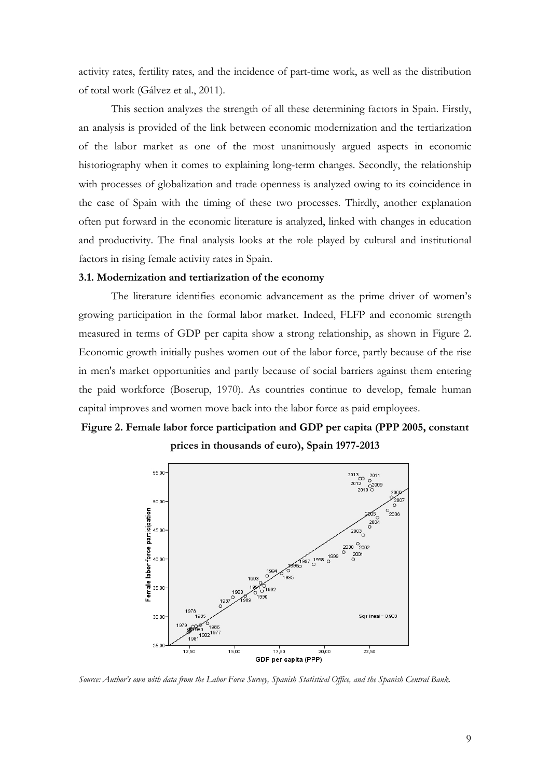activity rates, fertility rates, and the incidence of part-time work, as well as the distribution of total work (Gálvez et al., 2011).

This section analyzes the strength of all these determining factors in Spain. Firstly, an analysis is provided of the link between economic modernization and the tertiarization of the labor market as one of the most unanimously argued aspects in economic historiography when it comes to explaining long-term changes. Secondly, the relationship with processes of globalization and trade openness is analyzed owing to its coincidence in the case of Spain with the timing of these two processes. Thirdly, another explanation often put forward in the economic literature is analyzed, linked with changes in education and productivity. The final analysis looks at the role played by cultural and institutional factors in rising female activity rates in Spain.

#### **3.1. Modernization and tertiarization of the economy**

The literature identifies economic advancement as the prime driver of women's growing participation in the formal labor market. Indeed, FLFP and economic strength measured in terms of GDP per capita show a strong relationship, as shown in Figure 2. Economic growth initially pushes women out of the labor force, partly because of the rise in men's market opportunities and partly because of social barriers against them entering the paid workforce (Boserup, 1970). As countries continue to develop, female human capital improves and women move back into the labor force as paid employees.

## **Figure 2. Female labor force participation and GDP per capita (PPP 2005, constant prices in thousands of euro), Spain 1977-2013**



*Source: Author's own with data from the Labor Force Survey, Spanish Statistical Office, and the Spanish Central Bank.*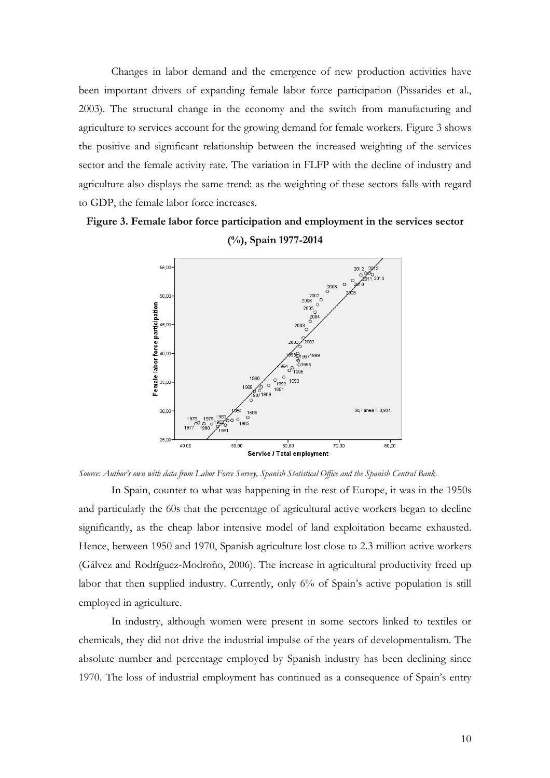Changes in labor demand and the emergence of new production activities have been important drivers of expanding female labor force participation (Pissarides et al., 2003). The structural change in the economy and the switch from manufacturing and agriculture to services account for the growing demand for female workers. Figure 3 shows the positive and significant relationship between the increased weighting of the services sector and the female activity rate. The variation in FLFP with the decline of industry and agriculture also displays the same trend: as the weighting of these sectors falls with regard to GDP, the female labor force increases.

## **Figure 3. Female labor force participation and employment in the services sector (%), Spain 1977-2014**



*Source: Author's own with data from Labor Force Survey, Spanish Statistical Office and the Spanish Central Bank.*

In Spain, counter to what was happening in the rest of Europe, it was in the 1950s and particularly the 60s that the percentage of agricultural active workers began to decline significantly, as the cheap labor intensive model of land exploitation became exhausted. Hence, between 1950 and 1970, Spanish agriculture lost close to 2.3 million active workers (Gálvez and Rodríguez-Modroño, 2006). The increase in agricultural productivity freed up labor that then supplied industry. Currently, only 6% of Spain's active population is still employed in agriculture.

In industry, although women were present in some sectors linked to textiles or chemicals, they did not drive the industrial impulse of the years of developmentalism. The absolute number and percentage employed by Spanish industry has been declining since 1970. The loss of industrial employment has continued as a consequence of Spain's entry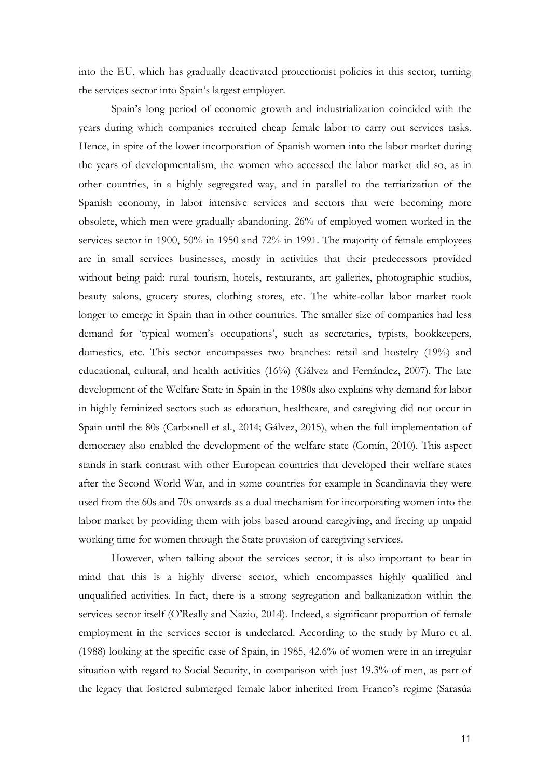into the EU, which has gradually deactivated protectionist policies in this sector, turning the services sector into Spain's largest employer.

Spain's long period of economic growth and industrialization coincided with the years during which companies recruited cheap female labor to carry out services tasks. Hence, in spite of the lower incorporation of Spanish women into the labor market during the years of developmentalism, the women who accessed the labor market did so, as in other countries, in a highly segregated way, and in parallel to the tertiarization of the Spanish economy, in labor intensive services and sectors that were becoming more obsolete, which men were gradually abandoning. 26% of employed women worked in the services sector in 1900, 50% in 1950 and 72% in 1991. The majority of female employees are in small services businesses, mostly in activities that their predecessors provided without being paid: rural tourism, hotels, restaurants, art galleries, photographic studios, beauty salons, grocery stores, clothing stores, etc. The white-collar labor market took longer to emerge in Spain than in other countries. The smaller size of companies had less demand for 'typical women's occupations', such as secretaries, typists, bookkeepers, domestics, etc. This sector encompasses two branches: retail and hostelry (19%) and educational, cultural, and health activities (16%) (Gálvez and Fernández, 2007). The late development of the Welfare State in Spain in the 1980s also explains why demand for labor in highly feminized sectors such as education, healthcare, and caregiving did not occur in Spain until the 80s (Carbonell et al., 2014; Gálvez, 2015), when the full implementation of democracy also enabled the development of the welfare state (Comín, 2010). This aspect stands in stark contrast with other European countries that developed their welfare states after the Second World War, and in some countries for example in Scandinavia they were used from the 60s and 70s onwards as a dual mechanism for incorporating women into the labor market by providing them with jobs based around caregiving, and freeing up unpaid working time for women through the State provision of caregiving services.

However, when talking about the services sector, it is also important to bear in mind that this is a highly diverse sector, which encompasses highly qualified and unqualified activities. In fact, there is a strong segregation and balkanization within the services sector itself (O'Really and Nazio, 2014). Indeed, a significant proportion of female employment in the services sector is undeclared. According to the study by Muro et al. (1988) looking at the specific case of Spain, in 1985, 42.6% of women were in an irregular situation with regard to Social Security, in comparison with just 19.3% of men, as part of the legacy that fostered submerged female labor inherited from Franco's regime (Sarasúa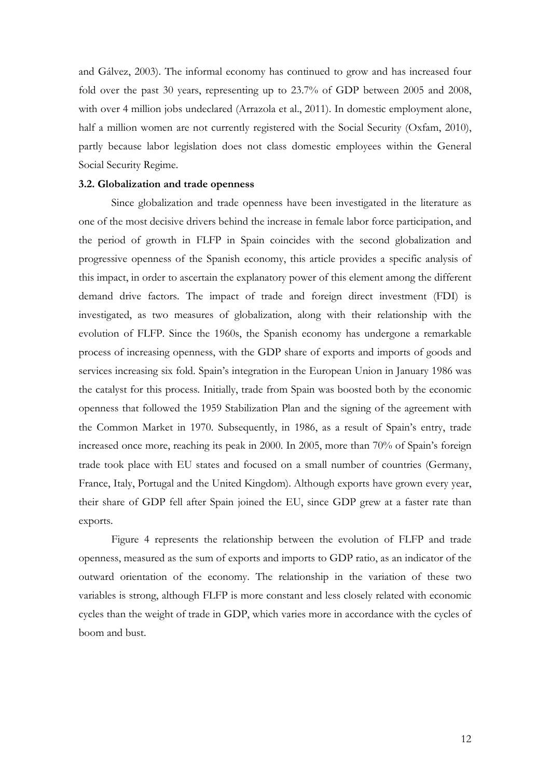and Gálvez, 2003). The informal economy has continued to grow and has increased four fold over the past 30 years, representing up to 23.7% of GDP between 2005 and 2008, with over 4 million jobs undeclared (Arrazola et al., 2011). In domestic employment alone, half a million women are not currently registered with the Social Security (Oxfam, 2010), partly because labor legislation does not class domestic employees within the General Social Security Regime.

#### **3.2. Globalization and trade openness**

Since globalization and trade openness have been investigated in the literature as one of the most decisive drivers behind the increase in female labor force participation, and the period of growth in FLFP in Spain coincides with the second globalization and progressive openness of the Spanish economy, this article provides a specific analysis of this impact, in order to ascertain the explanatory power of this element among the different demand drive factors. The impact of trade and foreign direct investment (FDI) is investigated, as two measures of globalization, along with their relationship with the evolution of FLFP. Since the 1960s, the Spanish economy has undergone a remarkable process of increasing openness, with the GDP share of exports and imports of goods and services increasing six fold. Spain's integration in the European Union in January 1986 was the catalyst for this process. Initially, trade from Spain was boosted both by the economic openness that followed the 1959 Stabilization Plan and the signing of the agreement with the Common Market in 1970. Subsequently, in 1986, as a result of Spain's entry, trade increased once more, reaching its peak in 2000. In 2005, more than 70% of Spain's foreign trade took place with EU states and focused on a small number of countries (Germany, France, Italy, Portugal and the United Kingdom). Although exports have grown every year, their share of GDP fell after Spain joined the EU, since GDP grew at a faster rate than exports.

Figure 4 represents the relationship between the evolution of FLFP and trade openness, measured as the sum of exports and imports to GDP ratio, as an indicator of the outward orientation of the economy. The relationship in the variation of these two variables is strong, although FLFP is more constant and less closely related with economic cycles than the weight of trade in GDP, which varies more in accordance with the cycles of boom and bust.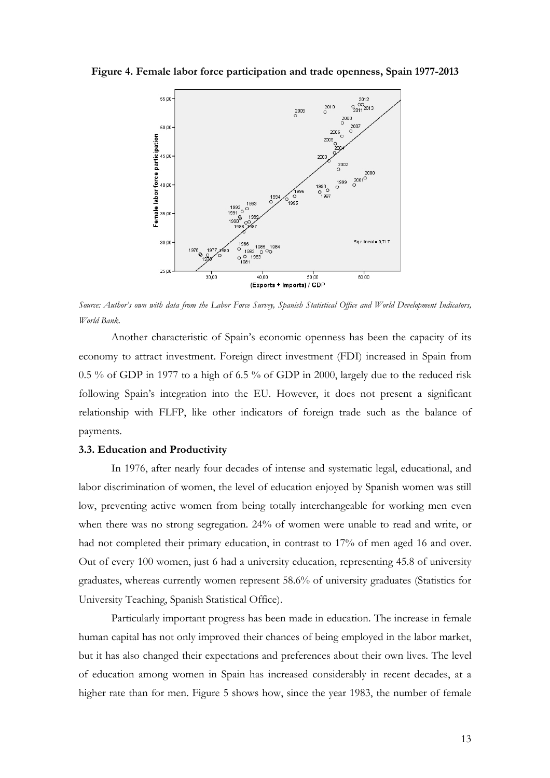**Figure 4. Female labor force participation and trade openness, Spain 1977-2013**



*Source: Author's own with data from the Labor Force Survey, Spanish Statistical Office and World Development Indicators, World Bank.*

Another characteristic of Spain's economic openness has been the capacity of its economy to attract investment. Foreign direct investment (FDI) increased in Spain from 0.5 % of GDP in 1977 to a high of 6.5 % of GDP in 2000, largely due to the reduced risk following Spain's integration into the EU. However, it does not present a significant relationship with FLFP, like other indicators of foreign trade such as the balance of payments.

#### **3.3. Education and Productivity**

In 1976, after nearly four decades of intense and systematic legal, educational, and labor discrimination of women, the level of education enjoyed by Spanish women was still low, preventing active women from being totally interchangeable for working men even when there was no strong segregation. 24% of women were unable to read and write, or had not completed their primary education, in contrast to 17% of men aged 16 and over. Out of every 100 women, just 6 had a university education, representing 45.8 of university graduates, whereas currently women represent 58.6% of university graduates (Statistics for University Teaching, Spanish Statistical Office).

Particularly important progress has been made in education. The increase in female human capital has not only improved their chances of being employed in the labor market, but it has also changed their expectations and preferences about their own lives. The level of education among women in Spain has increased considerably in recent decades, at a higher rate than for men. Figure 5 shows how, since the year 1983, the number of female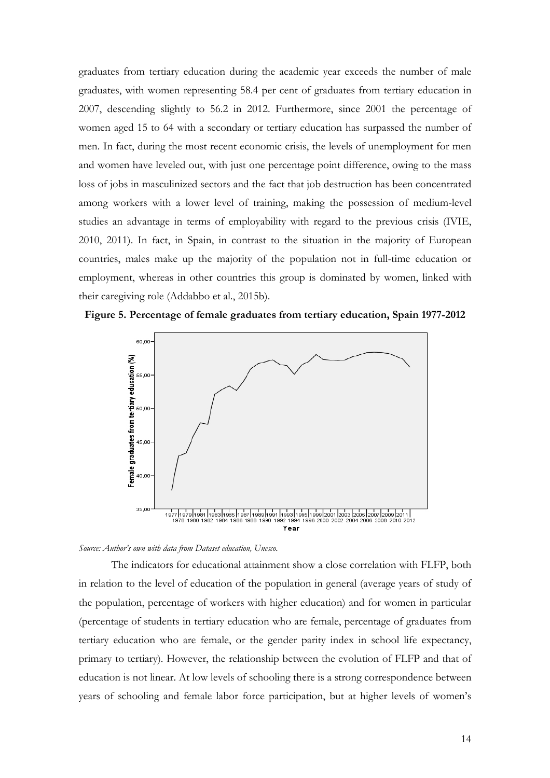graduates from tertiary education during the academic year exceeds the number of male graduates, with women representing 58.4 per cent of graduates from tertiary education in 2007, descending slightly to 56.2 in 2012. Furthermore, since 2001 the percentage of women aged 15 to 64 with a secondary or tertiary education has surpassed the number of men. In fact, during the most recent economic crisis, the levels of unemployment for men and women have leveled out, with just one percentage point difference, owing to the mass loss of jobs in masculinized sectors and the fact that job destruction has been concentrated among workers with a lower level of training, making the possession of medium-level studies an advantage in terms of employability with regard to the previous crisis (IVIE, 2010, 2011). In fact, in Spain, in contrast to the situation in the majority of European countries, males make up the majority of the population not in full-time education or employment, whereas in other countries this group is dominated by women, linked with their caregiving role (Addabbo et al., 2015b).





*Source: Author's own with data from Dataset education, Unesco.*

The indicators for educational attainment show a close correlation with FLFP, both in relation to the level of education of the population in general (average years of study of the population, percentage of workers with higher education) and for women in particular (percentage of students in tertiary education who are female, percentage of graduates from tertiary education who are female, or the gender parity index in school life expectancy, primary to tertiary). However, the relationship between the evolution of FLFP and that of education is not linear. At low levels of schooling there is a strong correspondence between years of schooling and female labor force participation, but at higher levels of women's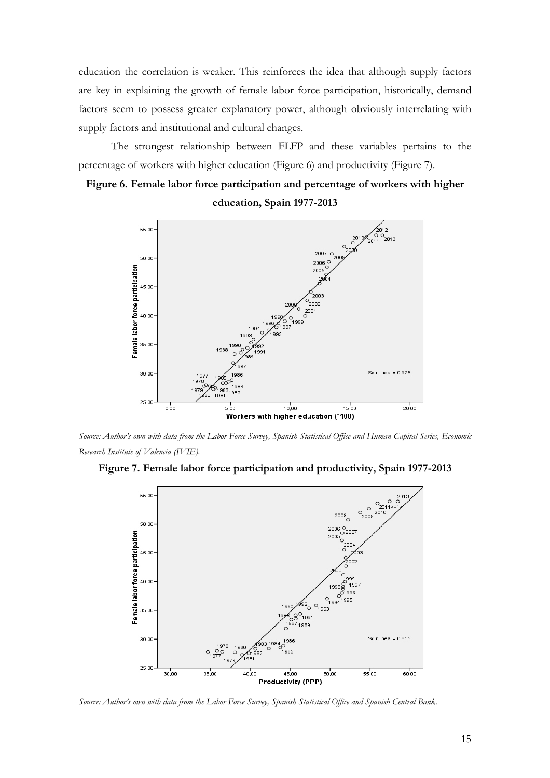education the correlation is weaker. This reinforces the idea that although supply factors are key in explaining the growth of female labor force participation, historically, demand factors seem to possess greater explanatory power, although obviously interrelating with supply factors and institutional and cultural changes.

The strongest relationship between FLFP and these variables pertains to the percentage of workers with higher education (Figure 6) and productivity (Figure 7).

## **Figure 6. Female labor force participation and percentage of workers with higher education, Spain 1977-2013**



*Source: Author's own with data from the Labor Force Survey, Spanish Statistical Office and Human Capital Series, Economic Research Institute of Valencia (IVIE).*





*Source: Author's own with data from the Labor Force Survey, Spanish Statistical Office and Spanish Central Bank.*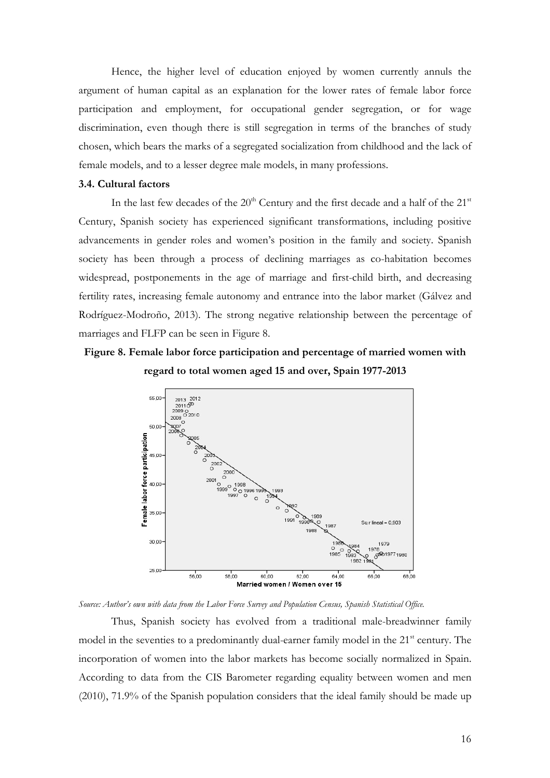Hence, the higher level of education enjoyed by women currently annuls the argument of human capital as an explanation for the lower rates of female labor force participation and employment, for occupational gender segregation, or for wage discrimination, even though there is still segregation in terms of the branches of study chosen, which bears the marks of a segregated socialization from childhood and the lack of female models, and to a lesser degree male models, in many professions.

#### **3.4. Cultural factors**

In the last few decades of the  $20<sup>th</sup>$  Century and the first decade and a half of the  $21<sup>st</sup>$ Century, Spanish society has experienced significant transformations, including positive advancements in gender roles and women's position in the family and society. Spanish society has been through a process of declining marriages as co-habitation becomes widespread, postponements in the age of marriage and first-child birth, and decreasing fertility rates, increasing female autonomy and entrance into the labor market (Gálvez and Rodríguez-Modroño, 2013). The strong negative relationship between the percentage of marriages and FLFP can be seen in Figure 8.

## **Figure 8. Female labor force participation and percentage of married women with regard to total women aged 15 and over, Spain 1977-2013**



*Source: Author's own with data from the Labor Force Survey and Population Census, Spanish Statistical Office.*

Thus, Spanish society has evolved from a traditional male-breadwinner family model in the seventies to a predominantly dual-earner family model in the  $21<sup>st</sup>$  century. The incorporation of women into the labor markets has become socially normalized in Spain. According to data from the CIS Barometer regarding equality between women and men (2010), 71.9% of the Spanish population considers that the ideal family should be made up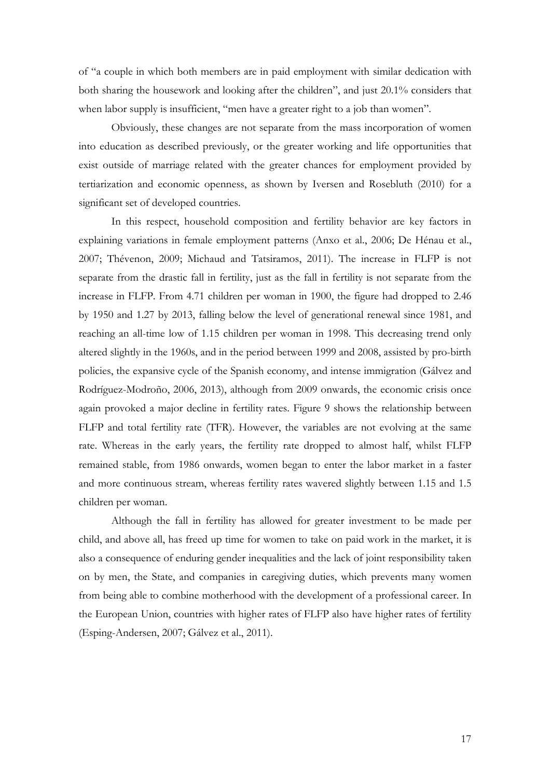of "a couple in which both members are in paid employment with similar dedication with both sharing the housework and looking after the children", and just 20.1% considers that when labor supply is insufficient, "men have a greater right to a job than women".

Obviously, these changes are not separate from the mass incorporation of women into education as described previously, or the greater working and life opportunities that exist outside of marriage related with the greater chances for employment provided by tertiarization and economic openness, as shown by Iversen and Rosebluth (2010) for a significant set of developed countries.

In this respect, household composition and fertility behavior are key factors in explaining variations in female employment patterns (Anxo et al., 2006; De Hénau et al., 2007; Thévenon, 2009; Michaud and Tatsiramos, 2011). The increase in FLFP is not separate from the drastic fall in fertility, just as the fall in fertility is not separate from the increase in FLFP. From 4.71 children per woman in 1900, the figure had dropped to 2.46 by 1950 and 1.27 by 2013, falling below the level of generational renewal since 1981, and reaching an all-time low of 1.15 children per woman in 1998. This decreasing trend only altered slightly in the 1960s, and in the period between 1999 and 2008, assisted by pro-birth policies, the expansive cycle of the Spanish economy, and intense immigration (Gálvez and Rodríguez-Modroño, 2006, 2013), although from 2009 onwards, the economic crisis once again provoked a major decline in fertility rates. Figure 9 shows the relationship between FLFP and total fertility rate (TFR). However, the variables are not evolving at the same rate. Whereas in the early years, the fertility rate dropped to almost half, whilst FLFP remained stable, from 1986 onwards, women began to enter the labor market in a faster and more continuous stream, whereas fertility rates wavered slightly between 1.15 and 1.5 children per woman.

Although the fall in fertility has allowed for greater investment to be made per child, and above all, has freed up time for women to take on paid work in the market, it is also a consequence of enduring gender inequalities and the lack of joint responsibility taken on by men, the State, and companies in caregiving duties, which prevents many women from being able to combine motherhood with the development of a professional career. In the European Union, countries with higher rates of FLFP also have higher rates of fertility (Esping-Andersen, 2007; Gálvez et al., 2011).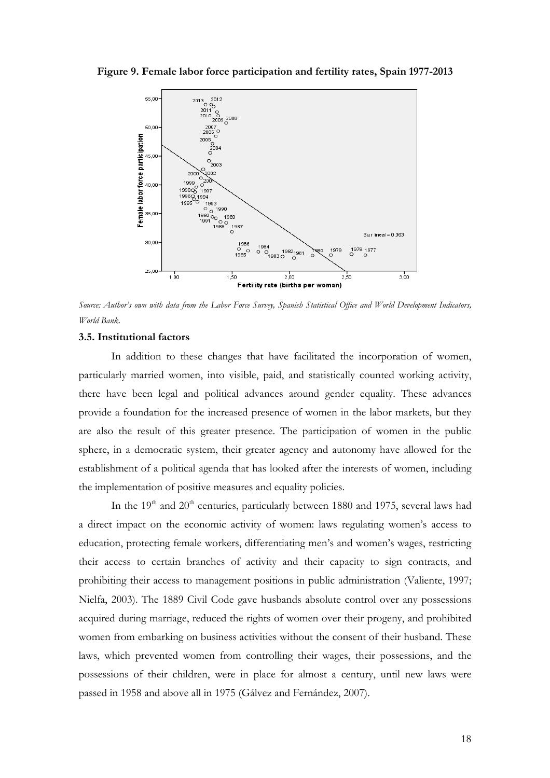**Figure 9. Female labor force participation and fertility rates, Spain 1977-2013**



*Source: Author's own with data from the Labor Force Survey, Spanish Statistical Office and World Development Indicators, World Bank.*

#### **3.5. Institutional factors**

In addition to these changes that have facilitated the incorporation of women, particularly married women, into visible, paid, and statistically counted working activity, there have been legal and political advances around gender equality. These advances provide a foundation for the increased presence of women in the labor markets, but they are also the result of this greater presence. The participation of women in the public sphere, in a democratic system, their greater agency and autonomy have allowed for the establishment of a political agenda that has looked after the interests of women, including the implementation of positive measures and equality policies.

In the  $19<sup>th</sup>$  and  $20<sup>th</sup>$  centuries, particularly between 1880 and 1975, several laws had a direct impact on the economic activity of women: laws regulating women's access to education, protecting female workers, differentiating men's and women's wages, restricting their access to certain branches of activity and their capacity to sign contracts, and prohibiting their access to management positions in public administration (Valiente, 1997; Nielfa, 2003). The 1889 Civil Code gave husbands absolute control over any possessions acquired during marriage, reduced the rights of women over their progeny, and prohibited women from embarking on business activities without the consent of their husband. These laws, which prevented women from controlling their wages, their possessions, and the possessions of their children, were in place for almost a century, until new laws were passed in 1958 and above all in 1975 (Gálvez and Fernández, 2007).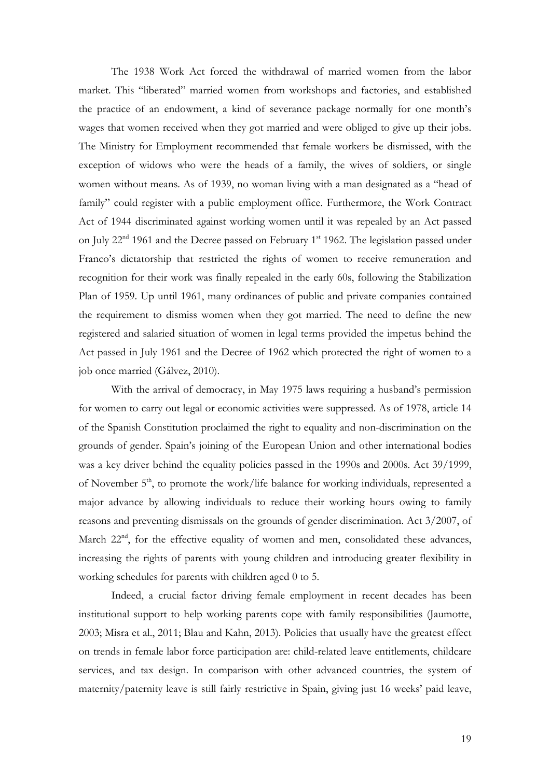The 1938 Work Act forced the withdrawal of married women from the labor market. This "liberated" married women from workshops and factories, and established the practice of an endowment, a kind of severance package normally for one month's wages that women received when they got married and were obliged to give up their jobs. The Ministry for Employment recommended that female workers be dismissed, with the exception of widows who were the heads of a family, the wives of soldiers, or single women without means. As of 1939, no woman living with a man designated as a "head of family" could register with a public employment office. Furthermore, the Work Contract Act of 1944 discriminated against working women until it was repealed by an Act passed on July  $22<sup>nd</sup>$  1961 and the Decree passed on February 1<sup>st</sup> 1962. The legislation passed under Franco's dictatorship that restricted the rights of women to receive remuneration and recognition for their work was finally repealed in the early 60s, following the Stabilization Plan of 1959. Up until 1961, many ordinances of public and private companies contained the requirement to dismiss women when they got married. The need to define the new registered and salaried situation of women in legal terms provided the impetus behind the Act passed in July 1961 and the Decree of 1962 which protected the right of women to a job once married (Gálvez, 2010).

With the arrival of democracy, in May 1975 laws requiring a husband's permission for women to carry out legal or economic activities were suppressed. As of 1978, article 14 of the Spanish Constitution proclaimed the right to equality and non-discrimination on the grounds of gender. Spain's joining of the European Union and other international bodies was a key driver behind the equality policies passed in the 1990s and 2000s. Act 39/1999, of November 5<sup>th</sup>, to promote the work/life balance for working individuals, represented a major advance by allowing individuals to reduce their working hours owing to family reasons and preventing dismissals on the grounds of gender discrimination. Act 3/2007, of March  $22<sup>nd</sup>$ , for the effective equality of women and men, consolidated these advances, increasing the rights of parents with young children and introducing greater flexibility in working schedules for parents with children aged 0 to 5.

Indeed, a crucial factor driving female employment in recent decades has been institutional support to help working parents cope with family responsibilities (Jaumotte, 2003; Misra et al., 2011; Blau and Kahn, 2013). Policies that usually have the greatest effect on trends in female labor force participation are: child-related leave entitlements, childcare services, and tax design. In comparison with other advanced countries, the system of maternity/paternity leave is still fairly restrictive in Spain, giving just 16 weeks' paid leave,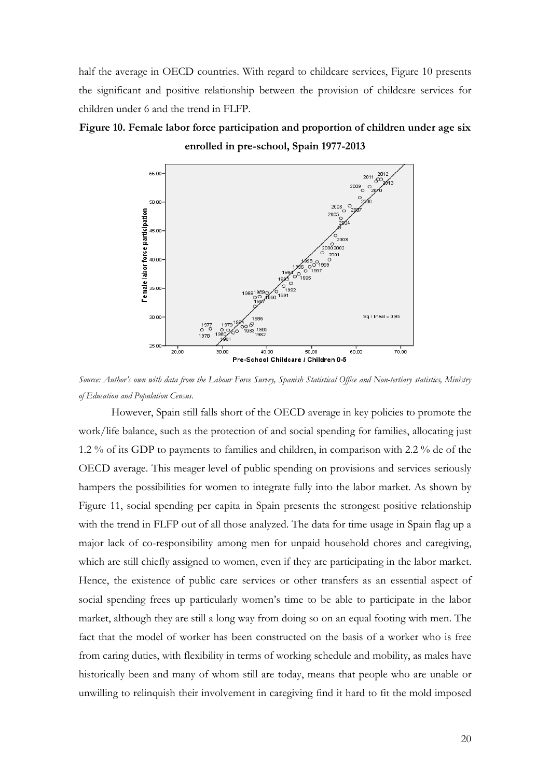half the average in OECD countries. With regard to childcare services, Figure 10 presents the significant and positive relationship between the provision of childcare services for children under 6 and the trend in FLFP.

## **Figure 10. Female labor force participation and proportion of children under age six enrolled in pre-school, Spain 1977-2013**



*Source: Author's own with data from the Labour Force Survey, Spanish Statistical Office and Non-tertiary statistics, Ministry of Education and Population Census.*

However, Spain still falls short of the OECD average in key policies to promote the work/life balance, such as the protection of and social spending for families, allocating just 1.2 % of its GDP to payments to families and children, in comparison with 2.2 % de of the OECD average. This meager level of public spending on provisions and services seriously hampers the possibilities for women to integrate fully into the labor market. As shown by Figure 11, social spending per capita in Spain presents the strongest positive relationship with the trend in FLFP out of all those analyzed. The data for time usage in Spain flag up a major lack of co-responsibility among men for unpaid household chores and caregiving, which are still chiefly assigned to women, even if they are participating in the labor market. Hence, the existence of public care services or other transfers as an essential aspect of social spending frees up particularly women's time to be able to participate in the labor market, although they are still a long way from doing so on an equal footing with men. The fact that the model of worker has been constructed on the basis of a worker who is free from caring duties, with flexibility in terms of working schedule and mobility, as males have historically been and many of whom still are today, means that people who are unable or unwilling to relinquish their involvement in caregiving find it hard to fit the mold imposed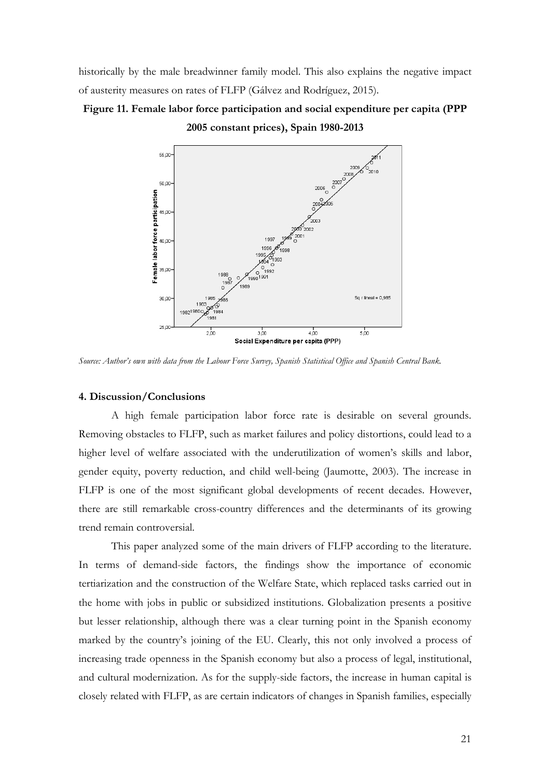historically by the male breadwinner family model. This also explains the negative impact of austerity measures on rates of FLFP (Gálvez and Rodríguez, 2015).

## **Figure 11. Female labor force participation and social expenditure per capita (PPP 2005 constant prices), Spain 1980-2013**



*Source: Author's own with data from the Labour Force Survey, Spanish Statistical Office and Spanish Central Bank.*

#### **4. Discussion/Conclusions**

A high female participation labor force rate is desirable on several grounds. Removing obstacles to FLFP, such as market failures and policy distortions, could lead to a higher level of welfare associated with the underutilization of women's skills and labor, gender equity, poverty reduction, and child well-being (Jaumotte, 2003). The increase in FLFP is one of the most significant global developments of recent decades. However, there are still remarkable cross-country differences and the determinants of its growing trend remain controversial.

This paper analyzed some of the main drivers of FLFP according to the literature. In terms of demand-side factors, the findings show the importance of economic tertiarization and the construction of the Welfare State, which replaced tasks carried out in the home with jobs in public or subsidized institutions. Globalization presents a positive but lesser relationship, although there was a clear turning point in the Spanish economy marked by the country's joining of the EU. Clearly, this not only involved a process of increasing trade openness in the Spanish economy but also a process of legal, institutional, and cultural modernization. As for the supply-side factors, the increase in human capital is closely related with FLFP, as are certain indicators of changes in Spanish families, especially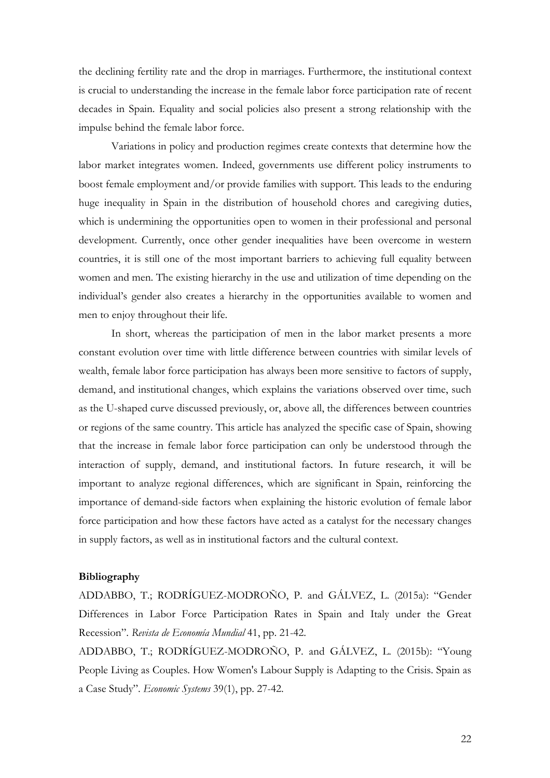the declining fertility rate and the drop in marriages. Furthermore, the institutional context is crucial to understanding the increase in the female labor force participation rate of recent decades in Spain. Equality and social policies also present a strong relationship with the impulse behind the female labor force.

Variations in policy and production regimes create contexts that determine how the labor market integrates women. Indeed, governments use different policy instruments to boost female employment and/or provide families with support. This leads to the enduring huge inequality in Spain in the distribution of household chores and caregiving duties, which is undermining the opportunities open to women in their professional and personal development. Currently, once other gender inequalities have been overcome in western countries, it is still one of the most important barriers to achieving full equality between women and men. The existing hierarchy in the use and utilization of time depending on the individual's gender also creates a hierarchy in the opportunities available to women and men to enjoy throughout their life.

In short, whereas the participation of men in the labor market presents a more constant evolution over time with little difference between countries with similar levels of wealth, female labor force participation has always been more sensitive to factors of supply, demand, and institutional changes, which explains the variations observed over time, such as the U-shaped curve discussed previously, or, above all, the differences between countries or regions of the same country. This article has analyzed the specific case of Spain, showing that the increase in female labor force participation can only be understood through the interaction of supply, demand, and institutional factors. In future research, it will be important to analyze regional differences, which are significant in Spain, reinforcing the importance of demand-side factors when explaining the historic evolution of female labor force participation and how these factors have acted as a catalyst for the necessary changes in supply factors, as well as in institutional factors and the cultural context.

#### **Bibliography**

ADDABBO, T.; RODRÍGUEZ-MODROÑO, P. and GÁLVEZ, L. (2015a): "Gender Differences in Labor Force Participation Rates in Spain and Italy under the Great Recession". *Revista de Economía Mundial* 41, pp. 21-42.

ADDABBO, T.; RODRÍGUEZ-MODROÑO, P. and GÁLVEZ, L. (2015b): "Young People Living as Couples. How Women's Labour Supply is Adapting to the Crisis. Spain as a Case Study". *Economic Systems* 39(1), pp. 27-42.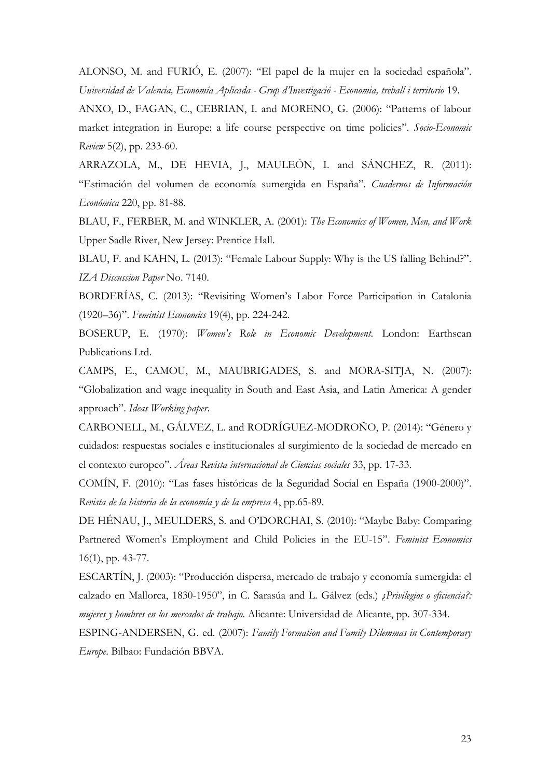ALONSO, M. and FURIÓ, E. (2007): "El papel de la mujer en la sociedad española". *Universidad de Valencia, Economía Aplicada - Grup d'Investigació - Economia, treball i territorio* 19.

ANXO, D., FAGAN, C., CEBRIAN, I. and MORENO, G. (2006): "Patterns of labour market integration in Europe: a life course perspective on time policies". *Socio-Economic Review* 5(2), pp. 233-60.

ARRAZOLA, M., DE HEVIA, J., MAULEÓN, I. and SÁNCHEZ, R. (2011): "Estimación del volumen de economía sumergida en España". *Cuadernos de Información Económica* 220, pp. 81-88.

BLAU, F., FERBER, M. and WINKLER, A. (2001): *The Economics of Women, Men, and Work* Upper Sadle River, New Jersey: Prentice Hall.

BLAU, F. and KAHN, L. (2013): "Female Labour Supply: Why is the US falling Behind?". *IZA Discussion Paper* No. 7140.

BORDERÍAS, C. (2013): "Revisiting Women's Labor Force Participation in Catalonia (1920–36)". *Feminist Economics* 19(4), pp. 224-242.

BOSERUP, E. (1970): *Women's Role in Economic Development*. London: Earthscan Publications Ltd.

CAMPS, E., CAMOU, M., MAUBRIGADES, S. and MORA-SITJA, N. (2007): "Globalization and wage inequality in South and East Asia, and Latin America: A gender approach". *Ideas Working paper*.

CARBONELL, M., GÁLVEZ, L. and RODRÍGUEZ-MODROÑO, P. (2014): "Género y cuidados: respuestas sociales e institucionales al surgimiento de la sociedad de mercado en el contexto europeo". *Áreas Revista internacional de Ciencias sociales* 33, pp. 17-33.

COMÍN, F. (2010): "Las fases históricas de la Seguridad Social en España (1900-2000)". *Revista de la historia de la economía y de la empresa* 4, pp.65-89.

DE HÉNAU, J., MEULDERS, S. and O'DORCHAI, S. (2010): "Maybe Baby: Comparing Partnered Women's Employment and Child Policies in the EU-15". *Feminist Economics* 16(1), pp. 43-77.

ESCARTÍN, J. (2003): "Producción dispersa, mercado de trabajo y economía sumergida: el calzado en Mallorca, 1830-1950", in C. Sarasúa and L. Gálvez (eds.) *¿Privilegios o eficiencia?: mujeres y hombres en los mercados de trabajo*. Alicante: Universidad de Alicante, pp. 307-334.

ESPING-ANDERSEN, G. ed. (2007): *Family Formation and Family Dilemmas in Contemporary Europe*. Bilbao: Fundación BBVA.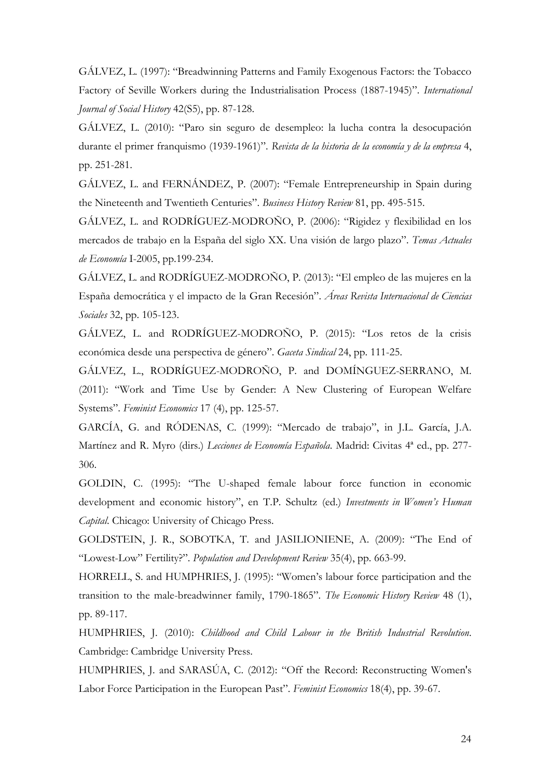GÁLVEZ, L. (1997): "Breadwinning Patterns and Family Exogenous Factors: the Tobacco Factory of Seville Workers during the Industrialisation Process (1887-1945)". *International Journal of Social History* 42(S5), pp. 87-128.

GÁLVEZ, L. (2010): "Paro sin seguro de desempleo: la lucha contra la desocupación durante el primer franquismo (1939-1961)". *Revista de la historia de la economía y de la empresa* 4, pp. 251-281.

GÁLVEZ, L. and FERNÁNDEZ, P. (2007): "Female Entrepreneurship in Spain during the Nineteenth and Twentieth Centuries". *Business History Review* 81, pp. 495-515.

GÁLVEZ, L. and RODRÍGUEZ-MODROÑO, P. (2006): "Rigidez y flexibilidad en los mercados de trabajo en la España del siglo XX. Una visión de largo plazo". *Temas Actuales de Economía* I-2005, pp.199-234.

GÁLVEZ, L. and RODRÍGUEZ-MODROÑO, P. (2013): "El empleo de las mujeres en la España democrática y el impacto de la Gran Recesión". *Áreas Revista Internacional de Ciencias Sociales* 32, pp. 105-123.

GÁLVEZ, L. and RODRÍGUEZ-MODROÑO, P. (2015): "Los retos de la crisis económica desde una perspectiva de género". *Gaceta Sindical* 24, pp. 111-25.

GÁLVEZ, L., RODRÍGUEZ-MODROÑO, P. and DOMÍNGUEZ-SERRANO, M. (2011): "Work and Time Use by Gender: A New Clustering of European Welfare Systems". *Feminist Economics* 17 (4), pp. 125-57.

GARCÍA, G. and RÓDENAS, C. (1999): "Mercado de trabajo", in J.L. García, J.A. Martínez and R. Myro (dirs.) *Lecciones de Economía Española*. Madrid: Civitas 4ª ed., pp. 277- 306.

GOLDIN, C. (1995): "The U-shaped female labour force function in economic development and economic history", en T.P. Schultz (ed.) *Investments in Women's Human Capital*. Chicago: University of Chicago Press.

GOLDSTEIN, J. R., SOBOTKA, T. and JASILIONIENE, A. (2009): "The End of "Lowest-Low" Fertility?". *Population and Development Review* 35(4), pp. 663-99.

HORRELL, S. and HUMPHRIES, J. (1995): "Women's labour force participation and the transition to the male-breadwinner family, 1790-1865". *The Economic History Review* 48 (1), pp. 89-117.

HUMPHRIES, J. (2010): *Childhood and Child Labour in the British Industrial Revolution*. Cambridge: Cambridge University Press.

HUMPHRIES, J. and SARASÚA, C. (2012): "Off the Record: Reconstructing Women's Labor Force Participation in the European Past". *Feminist Economics* 18(4), pp. 39-67.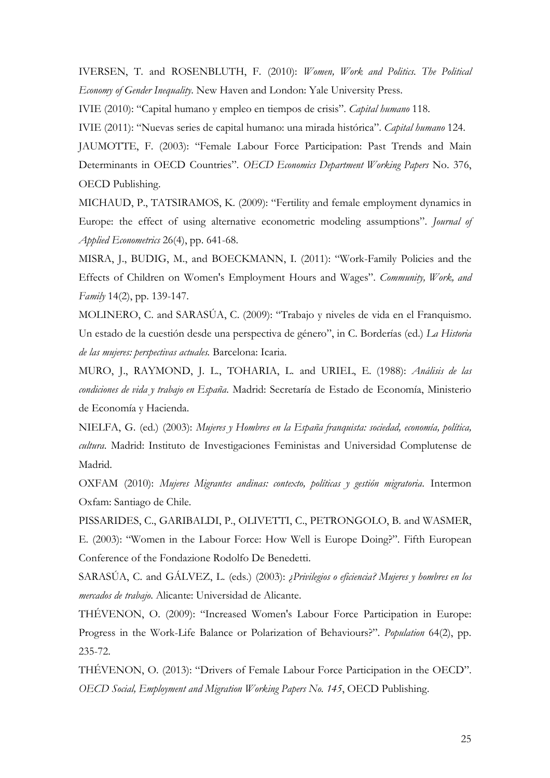IVERSEN, T. and ROSENBLUTH, F. (2010): *Women, Work and Politics. The Political Economy of Gender Inequality*. New Haven and London: Yale University Press.

IVIE (2010): "Capital humano y empleo en tiempos de crisis". *Capital humano* 118.

IVIE (2011): "Nuevas series de capital humano: una mirada histórica". *Capital humano* 124.

JAUMOTTE, F. (2003): "Female Labour Force Participation: Past Trends and Main Determinants in OECD Countries". *OECD Economics Department Working Papers* No. 376, OECD Publishing.

MICHAUD, P., TATSIRAMOS, K. (2009): "Fertility and female employment dynamics in Europe: the effect of using alternative econometric modeling assumptions". *Journal of Applied Econometrics* 26(4), pp. 641-68.

MISRA, J., BUDIG, M., and BOECKMANN, I. (2011): "Work-Family Policies and the Effects of Children on Women's Employment Hours and Wages". *Community, Work, and Family* 14(2), pp. 139-147.

MOLINERO, C. and SARASÚA, C. (2009): "Trabajo y niveles de vida en el Franquismo. Un estado de la cuestión desde una perspectiva de género", in C. Borderías (ed.) *La Historia de las mujeres: perspectivas actuales.* Barcelona: Icaria.

MURO, J., RAYMOND, J. L., TOHARIA, L. and URIEL, E. (1988): *Análisis de las condiciones de vida y trabajo en España*. Madrid: Secretaría de Estado de Economía, Ministerio de Economía y Hacienda.

NIELFA, G. (ed.) (2003): *Mujeres y Hombres en la España franquista: sociedad, economía, política, cultura*. Madrid: Instituto de Investigaciones Feministas and Universidad Complutense de Madrid.

OXFAM (2010): *Mujeres Migrantes andinas: contexto, políticas y gestión migratoria*. Intermon Oxfam: Santiago de Chile.

PISSARIDES, C., GARIBALDI, P., OLIVETTI, C., PETRONGOLO, B. and WASMER, E. (2003): "Women in the Labour Force: How Well is Europe Doing?". Fifth European Conference of the Fondazione Rodolfo De Benedetti.

SARASÚA, C. and GÁLVEZ, L. (eds.) (2003): *¿Privilegios o eficiencia? Mujeres y hombres en los mercados de trabajo*. Alicante: Universidad de Alicante.

THÉVENON, O. (2009): "Increased Women's Labour Force Participation in Europe: Progress in the Work-Life Balance or Polarization of Behaviours?". *Population* 64(2), pp. 235-72.

THÉVENON, O. (2013): "Drivers of Female Labour Force Participation in the OECD". *OECD Social, Employment and Migration Working Papers No. 145*, OECD Publishing.